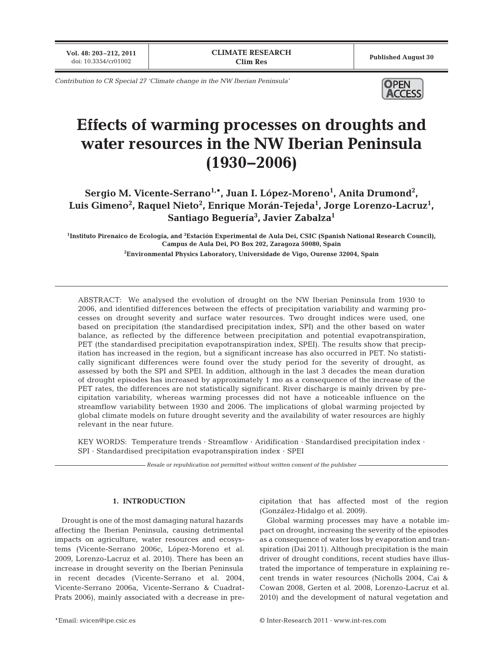**Vol. 48: 203–212, 2011**

*Contribution to CR Special 27 'Climate change in the NW Iberian Peninsula'*



# **Effects of warming processes on droughts and water resources in the NW Iberian Peninsula (1930−2006)**

Sergio M. Vicente-Serrano<sup>1,\*</sup>, Juan I. López-Moreno<sup>1</sup>, Anita Drumond<sup>2</sup>, Luis Gimeno<sup>2</sup>, Raquel Nieto<sup>2</sup>, Enrique Morán-Tejeda<sup>1</sup>, Jorge Lorenzo-Lacruz<sup>1</sup>, **Santiago Beguería3 , Javier Zabalza1**

**1 Instituto Pirenaico de Ecología, and <sup>3</sup> Estación Experimental de Aula Dei, CSIC (Spanish National Research Council), Campus de Aula Dei, PO Box 202, Zaragoza 50080, Spain**

**2 Environmental Physics Laboratory, Universidade de Vigo, Ourense 32004, Spain**

ABSTRACT: We analysed the evolution of drought on the NW Iberian Peninsula from 1930 to 2006, and identified differences between the effects of precipitation variability and warming processes on drought severity and surface water resources. Two drought indices were used, one based on precipitation (the standardised precipitation index, SPI) and the other based on water balance, as reflected by the difference between precipitation and potential evapotranspiration, PET (the standardised precipitation evapotranspiration index, SPEI). The results show that precipitation has increased in the region, but a significant increase has also occurred in PET. No statistically significant differences were found over the study period for the severity of drought, as assessed by both the SPI and SPEI. In addition, although in the last 3 decades the mean duration of drought episodes has increased by approximately 1 mo as a consequence of the increase of the PET rates, the differences are not statistically significant. River discharge is mainly driven by precipitation variability, whereas warming processes did not have a noticeable influence on the streamflow variability between 1930 and 2006. The implications of global warming projected by global climate models on future drought severity and the availability of water resources are highly relevant in the near future.

KEY WORDS: Temperature trends · Streamflow · Aridification · Standardised precipitation index · SPI · Standardised precipitation evapotranspiration index · SPEI

*Resale or republication not permitted without written consent of the publisher*

### **1. INTRODUCTION**

Drought is one of the most damaging natural hazards affecting the Iberian Peninsula, causing detrimental impacts on agriculture, water resources and ecosystems (Vicente-Serrano 2006c, López-Moreno et al. 2009, Lorenzo-Lacruz et al. 2010). There has been an increase in drought severity on the Iberian Peninsula in recent decades (Vicente-Serrano et al. 2004, Vicente- Serrano 2006a, Vicente-Serrano & Cuadrat-Prats 2006), mainly associated with a decrease in precipitation that has affected most of the region (González-Hidalgo et al. 2009).

Global warming processes may have a notable impact on drought, increasing the severity of the episodes as a consequence of water loss by evaporation and transpiration (Dai 2011). Although precipitation is the main driver of drought conditions, recent studies have illustrated the importance of temperature in explaining recent trends in water resources (Nicholls 2004, Cai & Cowan 2008, Gerten et al. 2008, Lorenzo-Lacruz et al. 2010) and the development of natural vegetation and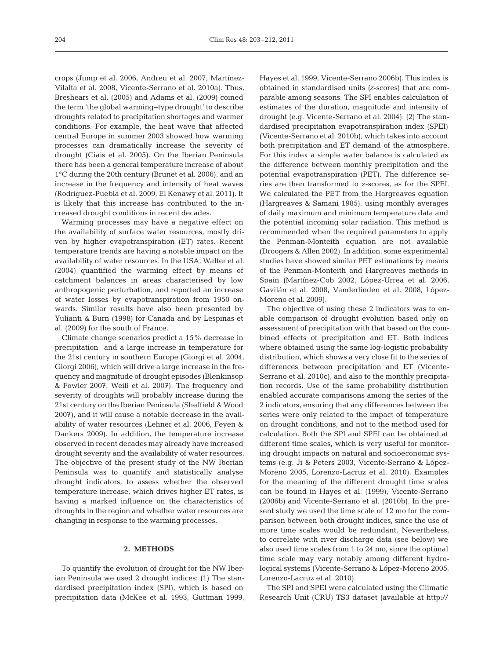crops (Jump et al. 2006, Andreu et al. 2007, Martínez-Vilalta et al. 2008, Vicente-Serrano et al. 2010a). Thus, Breshears et al. (2005) and Adams et al. (2009) coined the term 'the global warming-type drought' to describe droughts related to precipitation shortages and warmer conditions. For example, the heat wave that affected central Europe in summer 2003 showed how warming processes can dramatically increase the severity of drought (Ciais et al. 2005). On the Iberian Peninsula there has been a general temperature increase of about 1°C during the 20th century (Brunet et al. 2006), and an increase in the frequency and intensity of heat waves (Rodríguez-Puebla et al. 2009, El Kenawy et al. 2011). It is likely that this increase has contributed to the increased drought conditions in recent decades.

Warming processes may have a negative effect on the availability of surface water resources, mostly driven by higher evapotranspiration (ET) rates. Recent temperature trends are having a notable impact on the availability of water resources. In the USA, Walter et al. (2004) quantified the warming effect by means of catchment balances in areas characterised by low anthropogenic perturbation, and reported an increase of water losses by evapotranspiration from 1950 on wards. Similar results have also been presented by Yulianti & Burn (1998) for Canada and by Lespinas et al. (2009) for the south of France.

Climate change scenarios predict a 15% decrease in precipitation and a large increase in temperature for the 21st century in southern Europe (Giorgi et al. 2004, Giorgi 2006), which will drive a large increase in the frequency and magnitude of drought episodes (Blenkinsop & Fowler 2007, Weiß et al. 2007). The frequency and severity of droughts will probably increase during the 21st century on the Iberian Peninsula (Sheffield & Wood 2007), and it will cause a notable decrease in the availability of water resources (Lehner et al. 2006, Feyen & Dankers 2009). In addition, the temperature increase observed in recent decades may already have increased drought severity and the availability of water resources. The objective of the present study of the NW Iberian Peninsula was to quantify and statistically analyse drought indicators, to assess whether the observed temperature increase, which drives higher ET rates, is having a marked influence on the characteristics of droughts in the region and whether water resources are changing in response to the warming processes.

#### **2. METHODS**

To quantify the evolution of drought for the NW Iberian Peninsula we used 2 drought indices: (1) The standardised precipitation index (SPI), which is based on precipitation data (McKee et al. 1993, Guttman 1999, Hayes et al. 1999, Vicente-Serrano 2006b). This index is obtained in standardised units *(z*-scores) that are comparable among seasons. The SPI enables calculation of estimates of the duration, magnitude and intensity of drought (e.g. Vicente-Serrano et al. 2004). (2) The standardised precipitation evapotranspiration index (SPEI) (Vicente-Serrano et al. 2010b), which takes into account both precipitation and ET demand of the atmosphere. For this index a simple water balance is calculated as the difference between monthly precipitation and the potential evapotranspiration (PET). The difference series are then transformed to *z*-scores, as for the SPEI. We calculated the PET from the Hargreaves equation (Hargreaves & Samani 1985), using monthly averages of daily maximum and minimum temperature data and the potential incoming solar radiation. This method is recommended when the required parameters to apply the Penman-Monteith equation are not available (Droogers & Allen 2002). In addition, some experimental studies have showed similar PET estimations by means of the Penman-Monteith and Hargreaves methods in Spain (Martínez-Cob 2002, López-Urrea et al. 2006, Gavilán et al. 2008, Vanderlinden et al. 2008, López-Moreno et al. 2009).

The objective of using these 2 indicators was to enable comparison of drought evolution based only on assessment of precipitation with that based on the combined effects of precipitation and ET. Both indices where obtained using the same log-logistic probability distribution, which shows a very close fit to the series of differences between precipitation and ET (Vicente-Serrano et al. 2010c), and also to the monthly precipitation records. Use of the same probability distribution enabled accurate comparisons among the series of the 2 indicators, ensuring that any differences between the series were only related to the impact of temperature on drought conditions, and not to the method used for calculation. Both the SPI and SPEI can be obtained at different time scales, which is very useful for monitoring drought impacts on natural and socioeconomic systems (e.g. Ji & Peters 2003, Vicente-Serrano & López-Moreno 2005, Lorenzo-Lacruz et al. 2010). Examples for the meaning of the different drought time scales can be found in Hayes et al. (1999), Vicente-Serrano (2006b) and Vicente-Serrano et al. (2010b). In the present study we used the time scale of 12 mo for the comparison between both drought indices, since the use of more time scales would be redundant. Nevertheless, to correlate with river discharge data (see below) we also used time scales from 1 to 24 mo, since the optimal time scale may vary notably among different hydrological systems (Vicente-Serrano & López-Moreno 2005, Lorenzo-Lacruz et al. 2010).

The SPI and SPEI were calculated using the Climatic Research Unit (CRU) TS3 dataset (available at http://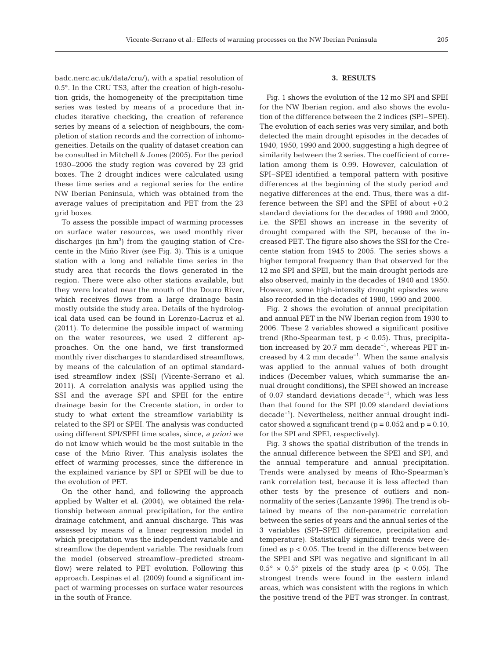badc.nerc.ac.uk/data/cru/), with a spatial resolution of 0.5°. In the CRU TS3, after the creation of high-resolution grids, the homogeneity of the precipitation time series was tested by means of a procedure that includes iterative checking, the creation of reference series by means of a selection of neighbours, the completion of station records and the correction of inhomogeneities. Details on the quality of dataset creation can be consulted in Mitchell & Jones (2005). For the period 1930–2006 the study region was covered by 23 grid boxes. The 2 drought indices were calculated using these time series and a regional series for the entire NW Iberian Peninsula, which was obtained from the average values of precipitation and PET from the 23 grid boxes.

To assess the possible impact of warming processes on surface water resources, we used monthly river discharges (in  $hm<sup>3</sup>$ ) from the gauging station of Crecente in the Miño River (see Fig. 3). This is a unique station with a long and reliable time series in the study area that records the flows generated in the region. There were also other stations available, but they were located near the mouth of the Douro River, which receives flows from a large drainage basin mostly outside the study area. Details of the hydrological data used can be found in Lorenzo-Lacruz et al. (2011). To determine the possible impact of warming on the water resources, we used 2 different approaches. On the one hand, we first transformed monthly river discharges to standardised streamflows, by means of the calculation of an optimal standardised streamflow index (SSI) (Vicente-Serrano et al. 2011). A correlation analysis was applied using the SSI and the average SPI and SPEI for the entire drainage basin for the Crecente station, in order to study to what extent the streamflow variability is related to the SPI or SPEI. The analysis was conducted using different SPI/SPEI time scales, since, *a priori* we do not know which would be the most suitable in the case of the Miño River. This analysis isolates the effect of warming processes, since the difference in the explained variance by SPI or SPEI will be due to the evolution of PET.

On the other hand, and following the approach applied by Walter et al. (2004), we obtained the relationship between annual precipitation, for the entire drainage catchment, and annual discharge. This was assessed by means of a linear regression model in which precipitation was the independent variable and streamflow the dependent variable. The residuals from the model (observed streamflow− predicted streamflow) were related to PET evolution. Following this approach, Lespinas et al. (2009) found a significant im pact of warming processes on surface water resources in the south of France.

## **3. RESULTS**

Fig. 1 shows the evolution of the 12 mo SPI and SPEI for the NW Iberian region, and also shows the evolution of the difference between the 2 indices (SPI–SPEI). The evolution of each series was very similar, and both detected the main drought episodes in the decades of 1940, 1950, 1990 and 2000, suggesting a high degree of similarity between the 2 series. The coefficient of correlation among them is 0.99. However, calculation of SPI–SPEI identified a temporal pattern with positive differences at the beginning of the study period and negative differences at the end. Thus, there was a difference between the SPI and the SPEI of about +0.2 standard deviations for the decades of 1990 and 2000, i.e. the SPEI shows an increase in the severity of drought compared with the SPI, because of the increased PET. The figure also shows the SSI for the Crecente station from 1945 to 2005. The series shows a higher temporal frequency than that observed for the 12 mo SPI and SPEI, but the main drought periods are also observed, mainly in the decades of 1940 and 1950. However, some high-intensity drought episodes were also recorded in the decades of 1980, 1990 and 2000.

Fig. 2 shows the evolution of annual precipitation and annual PET in the NW Iberian region from 1930 to 2006. These 2 variables showed a significant positive trend (Rho-Spearman test,  $p < 0.05$ ). Thus, precipitation increased by 20.7 mm decade<sup>-1</sup>, whereas PET increased by 4.2 mm decade−1. When the same analysis was applied to the annual values of both drought indices (December values, which summarise the annual drought conditions), the SPEI showed an increase of 0.07 standard deviations decade−1, which was less than that found for the SPI (0.09 standard deviations decade−1). Nevertheless, neither annual drought indicator showed a significant trend ( $p = 0.052$  and  $p = 0.10$ , for the SPI and SPEI, respectively).

Fig. 3 shows the spatial distribution of the trends in the annual difference between the SPEI and SPI, and the annual temperature and annual precipitation. Trends were analysed by means of Rho-Spearman's rank correlation test, because it is less affected than other tests by the presence of outliers and nonnormality of the series (Lanzante 1996). The trend is ob tained by means of the non-parametric correlation between the series of years and the annual series of the 3 variables (SPI−SPEI difference, precipitation and temperature). Statistically significant trends were de fined as  $p < 0.05$ . The trend in the difference between the SPEI and SPI was negative and significant in all  $0.5^{\circ} \times 0.5^{\circ}$  pixels of the study area (p < 0.05). The strongest trends were found in the eastern inland areas, which was consistent with the regions in which the positive trend of the PET was stronger. In contrast,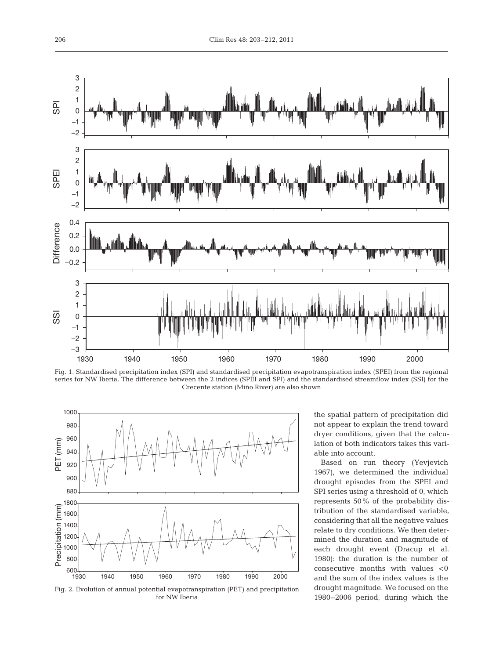

Fig. 1. Standardised precipitation index (SPI) and standardised precipitation evapotranspiration index (SPEI) from the regional series for NW Iberia. The difference between the 2 indices (SPEI and SPI) and the standardised streamflow index (SSI) for the Crecente station (Miño River) are also shown



Fig. 2. Evolution of annual potential evapotranspiration (PET) and precipitation for NW Iberia

the spatial pattern of precipitation did not appear to explain the trend toward dryer conditions, given that the calculation of both indicators takes this variable into account.

Based on run theory (Yevjevich 1967), we determined the individual drought episodes from the SPEI and SPI series using a threshold of 0, which represents 50% of the probability distribution of the standardised variable, considering that all the negative values relate to dry conditions. We then determined the duration and magnitude of each drought event (Dracup et al. 1980): the duration is the number of consecutive months with values  $< 0$ and the sum of the index values is the drought magnitude. We focused on the 1980– 2006 period, during which the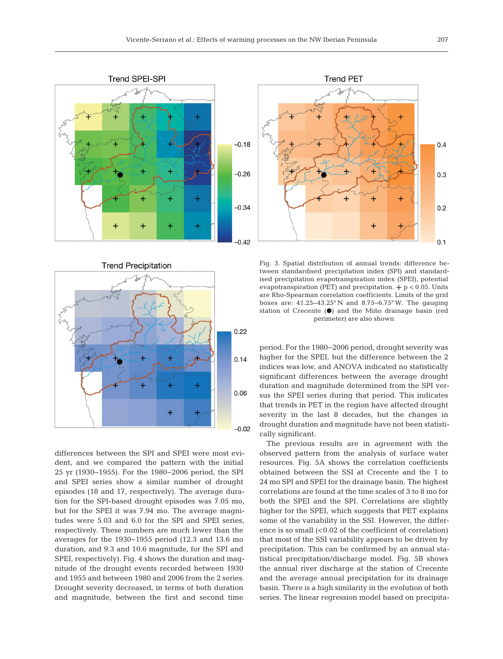



differences between the SPI and SPEI were most evident, and we compared the pattern with the initial 25 yr (1930−1955). For the 1980− 2006 period, the SPI and SPEI series show a similar number of drought episodes (18 and 17, respectively). The average duration for the SPI-based drought episodes was 7.05 mo, but for the SPEI it was 7.94 mo. The average magnitudes were 5.03 and 6.0 for the SPI and SPEI series, respectively. These numbers are much lower than the averages for the 1930−1955 period (12.3 and 13.6 mo duration, and 9.3 and 10.6 magnitude, for the SPI and SPEI, respectively). Fig. 4 shows the duration and magnitude of the drought events recorded between 1930 and 1955 and between 1980 and 2006 from the 2 series. Drought severity decreased, in terms of both duration and magnitude, between the first and second time



Fig. 3. Spatial distribution of annual trends: difference between standardised precipitation index (SPI) and standardised precipitation evapotranspiration index (SPEI), potential evapotranspiration (PET) and precipitation.  $+$  p < 0.05. Units are Rho-Spearman correlation coefficients. Limits of the grid boxes are: 41.25−43.25° N and 8.75−6.75° W. The gauging station of Crecente ( $\bullet$ ) and the Miño drainage basin (red perimeter) are also shown

period. For the 1980−2006 period, drought severity was higher for the SPEI, but the difference between the 2 indices was low, and ANOVA indicated no statistically significant differences between the average drought duration and magnitude determined from the SPI versus the SPEI series during that period. This indicates that trends in PET in the region have affected drought severity in the last 8 decades, but the changes in drought duration and magnitude have not been statistically significant.

The previous results are in agreement with the observed pattern from the analysis of surface water resources. Fig. 5A shows the correlation coefficients obtained between the SSI at Crecente and the 1 to 24 mo SPI and SPEI for the drainage basin. The highest correlations are found at the time scales of 3 to 8 mo for both the SPEI and the SPI. Correlations are slightly higher for the SPEI, which suggests that PET explains some of the variability in the SSI. However, the difference is so small  $\left($ <0.02 of the coefficient of correlation) that most of the SSI variability appears to be driven by precipitation. This can be confirmed by an annual statistical precipitation/ discharge model. Fig. 5B shows the annual river discharge at the station of Crecente and the average annual precipitation for its drainage basin. There is a high similarity in the evolution of both series. The linear regression model based on precipita-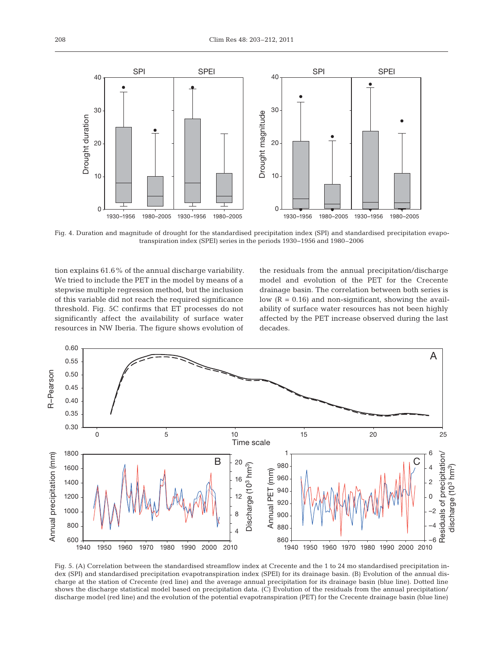

Fig. 4. Duration and magnitude of drought for the standardised precipitation index (SPI) and standardised precipitation evapotranspiration index (SPEI) series in the periods 1930−1956 and 1980–2006

tion explains 61.6% of the annual discharge variability. We tried to include the PET in the model by means of a stepwise multiple regression method, but the inclusion of this variable did not reach the required significance threshold. Fig. 5C confirms that ET processes do not significantly affect the availability of surface water resources in NW Iberia. The figure shows evolution of

the residuals from the annual precipitation/discharge model and evolution of the PET for the Crecente drainage basin. The correlation between both series is low  $(R = 0.16)$  and non-significant, showing the availability of surface water resources has not been highly affected by the PET increase observed during the last decades.



Fig. 5. (A) Correlation between the standardised streamflow index at Crecente and the 1 to 24 mo standardised precipitation index (SPI) and standardised precipitation evapotranspiration index (SPEI) for its drainage basin. (B) Evolution of the annual discharge at the station of Crecente (red line) and the average annual precipitation for its drainage basin (blue line). Dotted line shows the discharge statistical model based on precipitation data. (C) Evolution of the residuals from the annual precipitation/ discharge model (red line) and the evolution of the potential evapotranspiration (PET) for the Crecente drainage basin (blue line)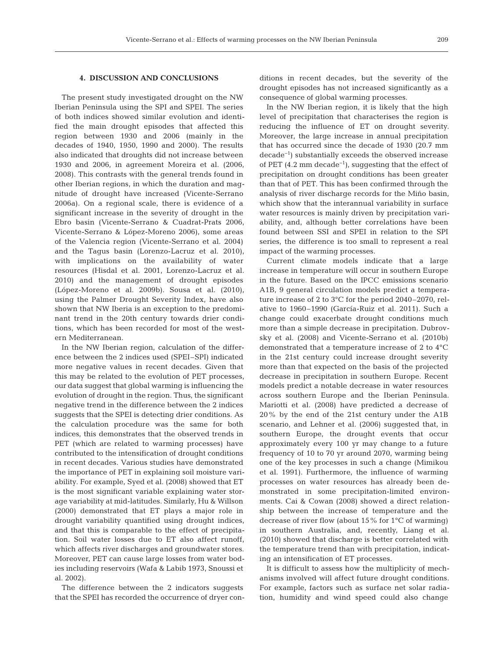## **4. DISCUSSION AND CONCLUSIONS**

The present study investigated drought on the NW Iberian Peninsula using the SPI and SPEI. The series of both indices showed similar evolution and identified the main drought episodes that affected this region between 1930 and 2006 (mainly in the decades of 1940, 1950, 1990 and 2000). The results also indicated that droughts did not increase between 1930 and 2006, in agreement Moreira et al. (2006, 2008). This contrasts with the general trends found in other Iberian regions, in which the duration and magnitude of drought have increased (Vicente-Serrano 2006a). On a regional scale, there is evidence of a significant increase in the severity of drought in the Ebro basin (Vicente-Serrano & Cuadrat-Prats 2006, Vicente- Serrano & López-Moreno 2006), some areas of the Valencia region (Vicente-Serrano et al. 2004) and the Tagus basin (Lorenzo-Lacruz et al. 2010), with implications on the availability of water re sources (Hisdal et al. 2001, Lorenzo-Lacruz et al. 2010) and the management of drought episodes (López - Moreno et al. 2009b). Sousa et al. (2010), using the Palmer Drought Severity Index, have also shown that NW Iberia is an exception to the predominant trend in the 20th century towards drier conditions, which has been recorded for most of the western Mediterranean.

In the NW Iberian region, calculation of the difference between the 2 indices used (SPEI–SPI) indicated more negative values in recent decades. Given that this may be related to the evolution of PET processes, our data suggest that global warming is influencing the evolution of drought in the region. Thus, the significant negative trend in the difference between the 2 indices suggests that the SPEI is detecting drier conditions. As the calculation procedure was the same for both indices, this demonstrates that the observed trends in PET (which are related to warming processes) have contributed to the intensification of drought conditions in recent decades. Various studies have demonstrated the importance of PET in explaining soil moisture variability. For example, Syed et al. (2008) showed that ET is the most significant variable explaining water storage variability at mid-latitudes. Similarly, Hu & Willson (2000) demonstrated that ET plays a major role in drought variability quantified using drought indices, and that this is comparable to the effect of precipitation. Soil water losses due to ET also affect runoff, which affects river discharges and groundwater stores. Moreover, PET can cause large losses from water bodies including reservoirs (Wafa & Labib 1973, Snoussi et al. 2002).

The difference between the 2 indicators suggests that the SPEI has recorded the occurrence of dryer conditions in recent decades, but the severity of the drought episodes has not increased significantly as a consequence of global warming processes.

In the NW Iberian region, it is likely that the high level of precipitation that characterises the region is reducing the influence of ET on drought severity. Moreover, the large increase in annual precipitation that has occurred since the decade of 1930 (20.7 mm decade−1) substantially ex ceeds the observed increase of PET (4.2 mm decade−1), suggesting that the effect of precipitation on drought conditions has been greater than that of PET. This has been confirmed through the analysis of river discharge records for the Miño basin, which show that the interannual variability in surface water resources is mainly driven by precipitation variability, and, although better correlations have been found between SSI and SPEI in relation to the SPI series, the difference is too small to represent a real impact of the warming processes.

Current climate models indicate that a large increase in temperature will occur in southern Europe in the future. Based on the IPCC emissions scenario A1B, 9 general circulation models predict a temperature increase of 2 to 3°C for the period 2040–2070, relative to 1960–1990 (García-Ruiz et al. 2011). Such a change could exacerbate drought conditions much more than a simple decrease in precipitation. Dubrovsky et al. (2008) and Vicente-Serrano et al. (2010b) demonstrated that a temperature increase of 2 to 4°C in the 21st century could increase drought severity more than that expected on the basis of the projected decrease in precipitation in southern Europe. Recent models predict a notable decrease in water resources across southern Europe and the Iberian Peninsula. Mariotti et al. (2008) have predicted a decrease of 20% by the end of the 21st century under the A1B scenario, and Lehner et al. (2006) suggested that, in southern Europe, the drought events that occur approximately every 100 yr may change to a future frequency of 10 to 70 yr around 2070, warming being one of the key processes in such a change (Mimikou et al. 1991). Furthermore, the influence of warming processes on water resources has already been demonstrated in some precipitation-limited environments. Cai & Cowan (2008) showed a direct relationship between the increase of temperature and the decrease of river flow (about 15% for 1°C of warming) in southern Australia, and, recently, Liang et al. (2010) showed that discharge is better correlated with the temperature trend than with precipitation, indicating an intensification of ET processes.

It is difficult to assess how the multiplicity of mechanisms involved will affect future drought conditions. For example, factors such as surface net solar radiation, humidity and wind speed could also change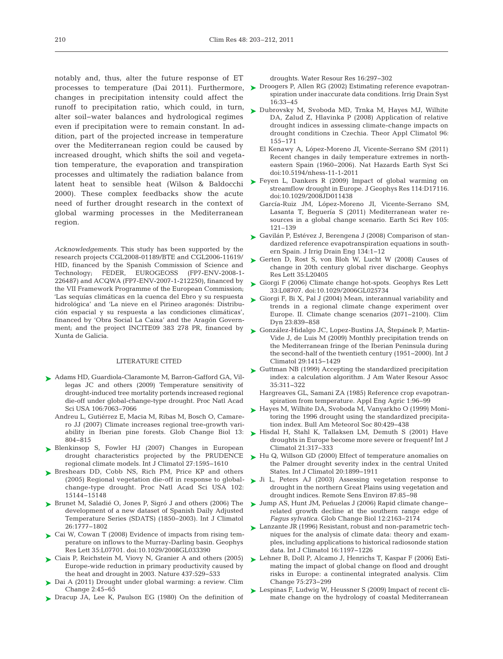notably and, thus, alter the future response of ET changes in precipitation intensity could affect the runoff to precipitation ratio, which could, in turn, alter soil−water balances and hydrological regimes even if precipitation were to remain constant. In addition, part of the projected increase in temperature over the Mediterranean region could be caused by increased drought, which shifts the soil and vegetation temperature, the evaporation and transpiration processes and ultimately the radiation balance from latent heat to sensible heat (Wilson & Baldocchi 2000). These complex feedbacks show the acute need of further drought research in the context of global warming processes in the Mediterranean region.

*Acknowledgements.* This study has been supported by the research projects CGL2008-01189/BTE and CGL2006-11619/ HID, financed by the Spanish Commission of Science and Technology; FEDER, EUROGEOSS (FP7-ENV-2008-1- 226487) and ACQWA (FP7-ENV-2007-1-212250), financed by the VII Framework Programme of the European Commission; 'Las sequías climáticas en la cuenca del Ebro y su respuesta hidrológica' and 'La nieve en el Pirineo aragonés: Distribución espacial y su respuesta a las condiciones climáticas', financed by 'Obra Social La Caixa' and the Aragón Government; and the project INCITE09 383 278 PR, financed by Xunta de Galicia.

#### LITERATURE CITED

- ► Adams HD, Guardiola-Claramonte M, Barron-Gafford GA, Villegas JC and others (2009) Temperature sensitivity of drought-induced tree mortality portends increased regional die-off under global-change-type drought. Proc Natl Acad Sci USA 106:7063-7066
	- Andreu L, Gutiérrez E, Macia M, Ribas M, Bosch O, Camarero JJ (2007) Climate increases regional tree-growth variability in Iberian pine forests. Glob Change Biol 13: 804−815
- ▶ Blenkinsop S, Fowler HJ (2007) Changes in European drought characteristics projected by the PRUDENCE regional climate models. Int J Climatol 27: 1595−1610
- ► Breshears DD, Cobb NS, Rich PM, Price KP and others (2005) Regional vegetation die-off in response to globalchange-type drought. Proc Natl Acad Sci USA 102: 15144−15148
- ▶ Brunet M, Saladié O, Jones P, Sigró J and others (2006) The development of a new dataset of Spanish Daily Adjusted Temperature Series (SDATS) (1850−2003). Int J Climatol 26: 1777−1802
- ► Cai W, Cowan T (2008) Evidence of impacts from rising temperature on inflows to the Murray-Darling basin. Geophys Res Lett 35: L07701. doi: 10.1029/2008GL033390
- ► Ciais P, Reichstein M, Viovy N, Granier A and others (2005) Europe-wide reduction in primary productivity caused by the heat and drought in 2003. Nature 437:529-533
- ► Dai A (2011) Drought under global warming: a review. Clim Change 2:45-65
- ▶ Dracup JA, Lee K, Paulson EG (1980) On the definition of

droughts. Water Resour Res 16: 297−302

- processes to temperature (Dai 2011). Furthermore,  $\triangleright$  Droogers P, Allen RG (2002) Estimating reference evapotranspiration under inaccurate data conditions. Irrig Drain Syst 16: 33−45
	- ► Dubrovsky M, Svoboda MD, Trnka M, Hayes MJ, Wilhite DA, Zalud Z, Hlavinka P (2008) Application of relative drought indices in assessing climate-change impacts on drought conditions in Czechia. Theor Appl Climatol 96: 155−171
		- El Kenawy A, López-Moreno JI, Vicente-Serrano SM (2011) Recent changes in daily temperature extremes in northeastern Spain (1960−2006). Nat Hazards Earth Syst Sci doi: 10. 5194/ nhess-11-1-2011
	- ► Feyen L, Dankers R (2009) Impact of global warming on streamflow drought in Europe. J Geophys Res 114: D17116. doi: 10.1029/2008JD011438
		- García-Ruiz JM, López-Moreno JI, Vicente-Serrano SM, Lasanta T, Beguería S (2011) Mediterranean water resources in a global change scenario. Earth Sci Rev 105: 121–139
	- ► Gavilán P, Estévez J, Berengena J (2008) Comparison of standardized reference evapotranspiration equations in southern Spain. J Irrig Drain Eng 134: 1−12
	- ► Gerten D, Rost S, von Bloh W, Lucht W (2008) Causes of change in 20th century global river discharge. Geophys Res Lett 35: L20405
	- ► Giorgi F (2006) Climate change hot-spots. Geophys Res Lett 33: L08707. doi: 10.1029/2006GL025734
	- Giorgi F, Bi X, Pal J (2004) Mean, interannual variability and ➤ trends in a regional climate change experiment over Europe. II. Climate change scenarios (2071−2100). Clim Dyn 23: 839−858
	- ► González-Hidalgo JC, Lopez-Bustins JA, Stepánek P, Martin-Vide J, de Luis M (2009) Monthly precipitation trends on the Mediterranean fringe of the Iberian Peninsula during the second-half of the twentieth century (1951−2000). Int J Climatol 29: 1415−1429
	- ► Guttman NB (1999) Accepting the standardized precipitation index: a calculation algorithm. J Am Water Resour Assoc 35: 311−322
		- Hargreaves GL, Samani ZA (1985) Reference crop evapotranspiration from temperature. Appl Eng Agric 1:96-99
	- ► Hayes M, Wilhite DA, Svoboda M, Vanyarkho O (1999) Monitoring the 1996 drought using the standardized precipitation index. Bull Am Meteorol Soc 80: 429−438
	- ► Hisdal H, Stahl K, Tallaksen LM, Demuth S (2001) Have droughts in Europe become more severe or frequent? Int J Climatol 21: 317−333
	- ► Hu Q, Willson GD (2000) Effect of temperature anomalies on the Palmer drought severity index in the central United States. Int J Climatol 20: 1899−1911
	- L, Peters AJ (2003) Assessing vegetation response to drought in the northern Great Plains using vegetation and drought indices. Remote Sens Environ 87:85-98 ➤
	- Jump AS, Hunt JM, Peñuelas J (2006) Rapid climate change− ➤ related growth decline at the southern range edge of *Fagus sylvatica*. Glob Change Biol 12: 2163−2174
	- ► Lanzante JR (1996) Resistant, robust and non-parametric techniques for the analysis of climate data: theory and examples, including applications to historical radiosonde station data. Int J Climatol 16: 1197−1226
	- Lehner B, Doll P, Alcamo J, Henrichs T, Kaspar F (2006) Esti-➤ mating the impact of global change on flood and drought risks in Europe: a continental integrated analysis. Clim Change 75: 273−299
	- ► Lespinas F, Ludwig W, Heussner S (2009) Impact of recent climate change on the hydrology of coastal Mediterranean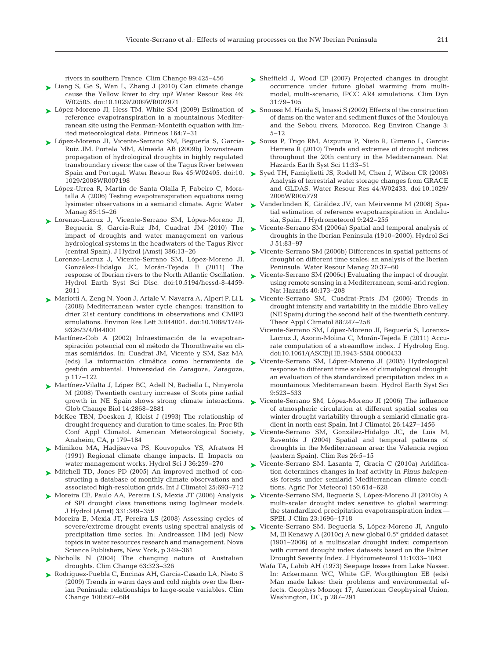rivers in southern France. Clim Change 99:425-456

- ► Liang S, Ge S, Wan L, Zhang J (2010) Can climate change cause the Yellow River to dry up? Water Resour Res 46: W02505. doi: 10.1029/2009WR007971
- ► López-Moreno JI, Hess TM, White SM (2009) Estimation of reference evapotranspiration in a mountainous Mediterranean site using the Penman-Monteith equation with limited meteorological data. Pirineos 164:7-31
- ► López-Moreno JI, Vicente-Serrano SM, Beguería S, García- ► Sousa P, Trigo RM, Aizpurua P, Nieto R, Gimeno L, Garcia-Ruiz JM, Portela MM, Almeida AB (2009b) Downstream propagation of hydrological droughts in highly regulated transboundary rivers: the case of the Tagus River between 1029/2008WR007198
	- López-Urrea R, Martín de Santa Olalla F, Fabeiro C, Moratalla A (2006) Testing evapotranspiration equations using lysimeter observations in a semiarid climate. Agric Water Manag 85:15−26
- ► Lorenzo-Lacruz J, Vicente-Serrano SM, López-Moreno JI, Beguería S, García-Ruiz JM, Cuadrat JM (2010) The impact of droughts and water management on various hydrological systems in the headwaters of the Tagus River (central Spain). J Hydrol (Amst) 386: 13−26
	- Lorenzo-Lacruz J, Vicente-Serrano SM, López-Moreno JI, González-Hidalgo JC, Morán-Tejeda E (2011) The Hydrol Earth Syst Sci Disc. doi:10.5194/hessd-8-4459- 2011
- ► Mariotti A, Zeng N, Yoon J, Artale V, Navarra A, Alpert P, Li L (2008) Mediterranean water cycle changes: transition to drier 21st century conditions in observations and CMIP3 simulations. Environ Res Lett 3: 044001. doi: 10.1088/1748- 9326/3/4/044001
	- Martínez-Cob A (2002) Infraestimación de la evapotranspiración potencial con el método de Thornthwaite en climas semiáridos. In:Cuadrat JM, Vicente y SM, Saz MA (eds) La información climática como herramienta de gestión ambiental. Universidad de Zaragoza, Zaragoza, p 117−122
- ► Martínez-Vilalta J, López BC, Adell N, Badiella L, Ninyerola M (2008) Twentieth century increase of Scots pine radial growth in NE Spain shows strong climate interactions. Glob Change Biol 14: 2868−2881
	- McKee TBN, Doesken J, Kleist J (1993) The relationship of drought frequency and duration to time scales. In: Proc 8th Anaheim, CA, p 179−184
- ▶ Mimikou MA, Hadjisavva PS, Kouvopulos YS, Afrateos H (1991) Regional climate change impacts. II. Impacts on water management works. Hydrol Sci J 36:259-270
- ▶ Mitchell TD, Jones PD (2005) An improved method of constructing a database of monthly climate observations and associated high-resolution grids. Int J Climatol 25: 693−712
- ► Moreira EE, Paulo AA, Pereira LS, Mexia JT (2006) Analysis of SPI drought class transitions using loglinear models. J Hydrol (Amst) 331: 349−359
	- Moreira E, Mexia JT, Pereira LS (2008) Assessing cycles of severe/extreme drought events using spectral analysis of precipitation time series. In: Andreassen HM (ed) New topics in water resources research and management. Nova Science Publishers, New York, p 349−361
- ▶ Nicholls N (2004) The changing nature of Australian droughts. Clim Change 63: 323−326
- ▶ Rodríguez-Puebla C, Encinas AH, García-Casado LA, Nieto S (2009) Trends in warm days and cold nights over the Iberian Peninsula: relationships to large-scale variables. Clim Change 100:667-684
- ► Sheffield J, Wood EF (2007) Projected changes in drought occurrence under future global warming from multimodel, multi-scenario, IPCC AR4 simulations. Clim Dyn 31: 79−105
- ► Snoussi M, Haïda S, Imassi S (2002) Effects of the construction of dams on the water and sediment fluxes of the Moulouya and the Sebou rivers, Morocco. Reg Environ Change 3: 5−12
- Herrera R (2010) Trends and extremes of drought indices throughout the 20th century in the Mediterranean. Nat Hazards Earth Syst Sci 11:33–51
- Spain and Portugal. Water Resour Res 45:W02405. doi:10.  $\blacktriangleright$  Syed TH, Famiglietti JS, Rodell M, Chen J, Wilson CR (2008) Analysis of terrestrial water storage changes from GRACE and GLDAS. Water Resour Res 44: W02433. doi: 10.1029/ 2006WR005779
	- ► Vanderlinden K, Giráldez JV, van Meirvenne M (2008) Spatial estimation of reference evapotranspiration in Andalusia, Spain. J Hydrometeorol 9: 242−255
	- ► Vicente-Serrano SM (2006a) Spatial and temporal analysis of droughts in the Iberian Peninsula (1910−2000). Hydrol Sci J 51:83-97
	- ► Vicente-Serrano SM (2006b) Differences in spatial patterns of drought on different time scales: an analysis of the Iberian Peninsula. Water Resour Manag 20:37-60
- response of Iberian rivers to the North Atlantic Oscillation.  $\blacktriangleright$  Vicente-Serrano SM (2006c) Evaluating the impact of drought using remote sensing in a Mediterranean, semi-arid region. Nat Hazards 40:173-208
	- ► Vicente-Serrano SM, Cuadrat-Prats JM (2006) Trends in drought intensity and variability in the middle Ebro valley (NE Spain) during the second half of the twentieth century. Theor Appl Climatol 88:247-258
		- Vicente-Serrano SM, López-Moreno JI, Beguería S, Lorenzo-Lacruz J, Azorin-Molina C, Morán-Tejeda E (2011) Accurate computation of a streamflow index. J Hydrolog Eng. doi: 10. 1061/(ASCE)HE.1943-5584.0000433
	- Vicente-Serrano SM, López-Moreno JI (2005) Hydrological ➤ response to different time scales of climatological drought: an evaluation of the standardized precipitation index in a mountainous Mediterranean basin. Hydrol Earth Syst Sci 9: 523−533
	- ► Vicente-Serrano SM, López-Moreno JI (2006) The influence of atmospheric circulation at different spatial scales on winter drought variability through a semiarid climatic gradient in north east Spain. Int J Climatol 26: 1427−1456
- Conf Appl Climatol. American Meteorological Society, Vicente-Serrano SM, González-Hidalgo JC, de Luis M, ➤ Raventós J (2004) Spatial and temporal patterns of droughts in the Mediterranean area: the Valencia region (eastern Spain). Clim Res 26:5-15
	- Vicente-Serrano SM, Lasanta T, Gracia C (2010a) Aridification determines changes in leaf activity in *Pinus halepensis* forests under semiarid Mediterranean climate conditions. Agric For Meteorol 150:614-628 ➤
	- ► Vicente-Serrano SM, Beguería S, López-Moreno JI (2010b) A multi-scalar drought index sensitive to global warming: the standardized precipitation evapotranspiration index — SPEI. J Clim 23: 1696−1718
	- Vicente-Serrano SM, Beguería S, López-Moreno JI, Angulo ➤M, El Kenawy A (2010c) A new global 0.5° gridded dataset (1901−2006) of a multiscalar drought index:comparison with current drought index datasets based on the Palmer Drought Severity Index. J Hydrometeorol 11: 1033−1043
		- Wafa TA, Labib AH (1973) Seepage losses from Lake Nasser. In: Ackermann WC, White GF, Worgthington EB (eds) Man made lakes: their problems and environmental effects. Geophys Monogr 17, American Geophysical Union, Washington, DC, p 287−291